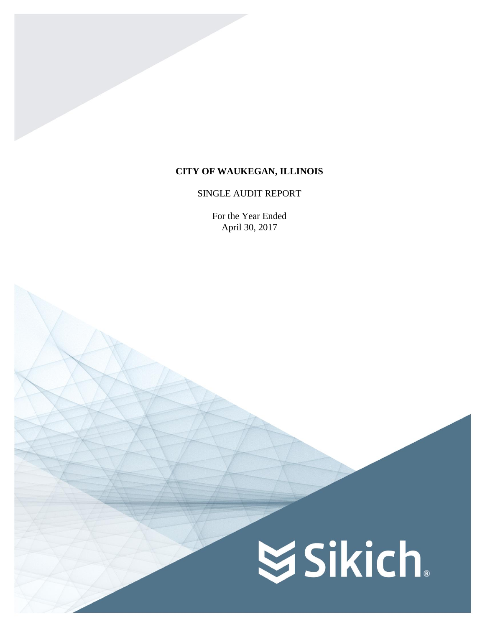# SINGLE AUDIT REPORT

For the Year Ended April 30, 2017

# **SSikich**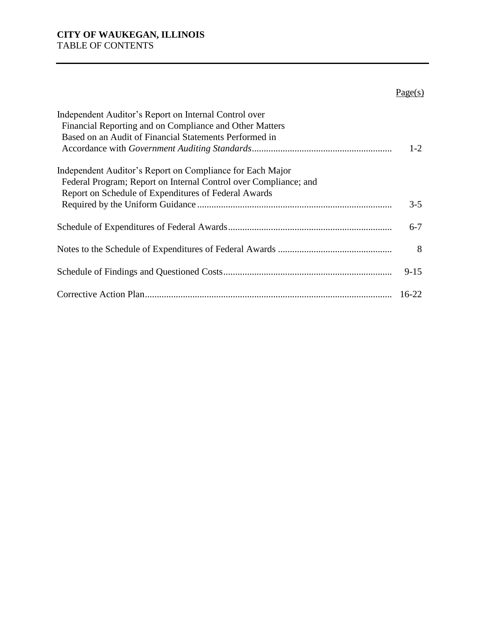# $Page(s)$

| Independent Auditor's Report on Internal Control over            |          |
|------------------------------------------------------------------|----------|
| Financial Reporting and on Compliance and Other Matters          |          |
| Based on an Audit of Financial Statements Performed in           |          |
|                                                                  | $1-2$    |
| Independent Auditor's Report on Compliance for Each Major        |          |
| Federal Program; Report on Internal Control over Compliance; and |          |
| Report on Schedule of Expenditures of Federal Awards             |          |
|                                                                  | $3 - 5$  |
|                                                                  | $6 - 7$  |
|                                                                  | 8        |
|                                                                  | $9 - 15$ |
|                                                                  | $16-22$  |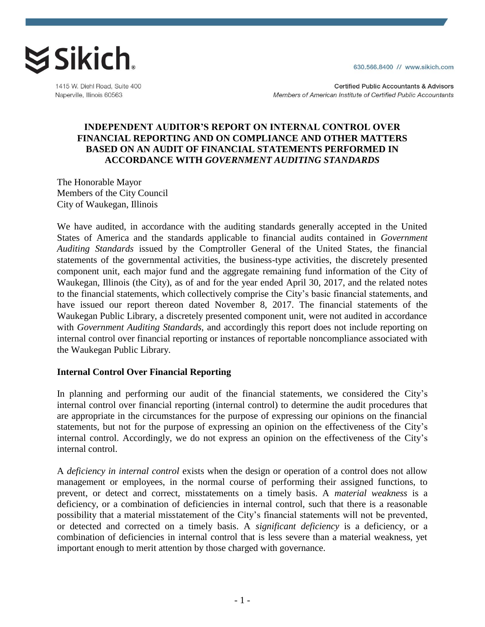630.566.8400 // www.sikich.com



1415 W. Diehl Road, Suite 400 Naperville, Illinois 60563

**Certified Public Accountants & Advisors** Members of American Institute of Certified Public Accountants

# **INDEPENDENT AUDITOR'S REPORT ON INTERNAL CONTROL OVER FINANCIAL REPORTING AND ON COMPLIANCE AND OTHER MATTERS BASED ON AN AUDIT OF FINANCIAL STATEMENTS PERFORMED IN ACCORDANCE WITH** *GOVERNMENT AUDITING STANDARDS*

The Honorable Mayor Members of the City Council City of Waukegan, Illinois

We have audited, in accordance with the auditing standards generally accepted in the United States of America and the standards applicable to financial audits contained in *Government Auditing Standards* issued by the Comptroller General of the United States, the financial statements of the governmental activities, the business-type activities, the discretely presented component unit, each major fund and the aggregate remaining fund information of the City of Waukegan, Illinois (the City), as of and for the year ended April 30, 2017, and the related notes to the financial statements, which collectively comprise the City's basic financial statements, and have issued our report thereon dated November 8, 2017. The financial statements of the Waukegan Public Library, a discretely presented component unit, were not audited in accordance with *Government Auditing Standards,* and accordingly this report does not include reporting on internal control over financial reporting or instances of reportable noncompliance associated with the Waukegan Public Library.

# **Internal Control Over Financial Reporting**

In planning and performing our audit of the financial statements, we considered the City's internal control over financial reporting (internal control) to determine the audit procedures that are appropriate in the circumstances for the purpose of expressing our opinions on the financial statements, but not for the purpose of expressing an opinion on the effectiveness of the City's internal control. Accordingly, we do not express an opinion on the effectiveness of the City's internal control.

A *deficiency in internal control* exists when the design or operation of a control does not allow management or employees, in the normal course of performing their assigned functions, to prevent, or detect and correct, misstatements on a timely basis. A *material weakness* is a deficiency, or a combination of deficiencies in internal control, such that there is a reasonable possibility that a material misstatement of the City's financial statements will not be prevented, or detected and corrected on a timely basis. A *significant deficiency* is a deficiency, or a combination of deficiencies in internal control that is less severe than a material weakness, yet important enough to merit attention by those charged with governance.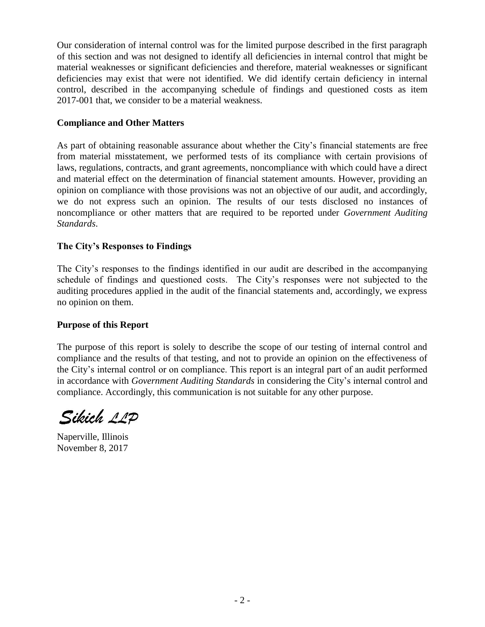Our consideration of internal control was for the limited purpose described in the first paragraph of this section and was not designed to identify all deficiencies in internal control that might be material weaknesses or significant deficiencies and therefore, material weaknesses or significant deficiencies may exist that were not identified. We did identify certain deficiency in internal control, described in the accompanying schedule of findings and questioned costs as item 2017-001 that, we consider to be a material weakness.

# **Compliance and Other Matters**

As part of obtaining reasonable assurance about whether the City's financial statements are free from material misstatement, we performed tests of its compliance with certain provisions of laws, regulations, contracts, and grant agreements, noncompliance with which could have a direct and material effect on the determination of financial statement amounts. However, providing an opinion on compliance with those provisions was not an objective of our audit, and accordingly, we do not express such an opinion. The results of our tests disclosed no instances of noncompliance or other matters that are required to be reported under *Government Auditing Standards*.

# **The City's Responses to Findings**

The City's responses to the findings identified in our audit are described in the accompanying schedule of findings and questioned costs. The City's responses were not subjected to the auditing procedures applied in the audit of the financial statements and, accordingly, we express no opinion on them.

# **Purpose of this Report**

The purpose of this report is solely to describe the scope of our testing of internal control and compliance and the results of that testing, and not to provide an opinion on the effectiveness of the City's internal control or on compliance. This report is an integral part of an audit performed in accordance with *Government Auditing Standards* in considering the City's internal control and compliance. Accordingly, this communication is not suitable for any other purpose.

Sikich 11P

Naperville, Illinois November 8, 2017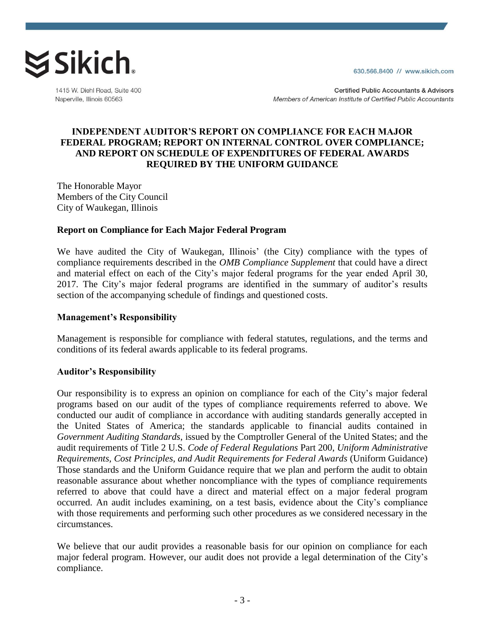630.566.8400 // www.sikich.com



1415 W. Diehl Road, Suite 400 Naperville, Illinois 60563

**Certified Public Accountants & Advisors** Members of American Institute of Certified Public Accountants

# **INDEPENDENT AUDITOR'S REPORT ON COMPLIANCE FOR EACH MAJOR FEDERAL PROGRAM; REPORT ON INTERNAL CONTROL OVER COMPLIANCE; AND REPORT ON SCHEDULE OF EXPENDITURES OF FEDERAL AWARDS REQUIRED BY THE UNIFORM GUIDANCE**

The Honorable Mayor Members of the City Council City of Waukegan, Illinois

# **Report on Compliance for Each Major Federal Program**

We have audited the City of Waukegan, Illinois' (the City) compliance with the types of compliance requirements described in the *OMB Compliance Supplement* that could have a direct and material effect on each of the City's major federal programs for the year ended April 30, 2017. The City's major federal programs are identified in the summary of auditor's results section of the accompanying schedule of findings and questioned costs.

# **Management's Responsibility**

Management is responsible for compliance with federal statutes, regulations, and the terms and conditions of its federal awards applicable to its federal programs.

# **Auditor's Responsibility**

Our responsibility is to express an opinion on compliance for each of the City's major federal programs based on our audit of the types of compliance requirements referred to above. We conducted our audit of compliance in accordance with auditing standards generally accepted in the United States of America; the standards applicable to financial audits contained in *Government Auditing Standards*, issued by the Comptroller General of the United States; and the audit requirements of Title 2 U.S. *Code of Federal Regulations* Part 200, *Uniform Administrative Requirements, Cost Principles, and Audit Requirements for Federal Awards* (Uniform Guidance) Those standards and the Uniform Guidance require that we plan and perform the audit to obtain reasonable assurance about whether noncompliance with the types of compliance requirements referred to above that could have a direct and material effect on a major federal program occurred. An audit includes examining, on a test basis, evidence about the City's compliance with those requirements and performing such other procedures as we considered necessary in the circumstances.

We believe that our audit provides a reasonable basis for our opinion on compliance for each major federal program. However, our audit does not provide a legal determination of the City's compliance.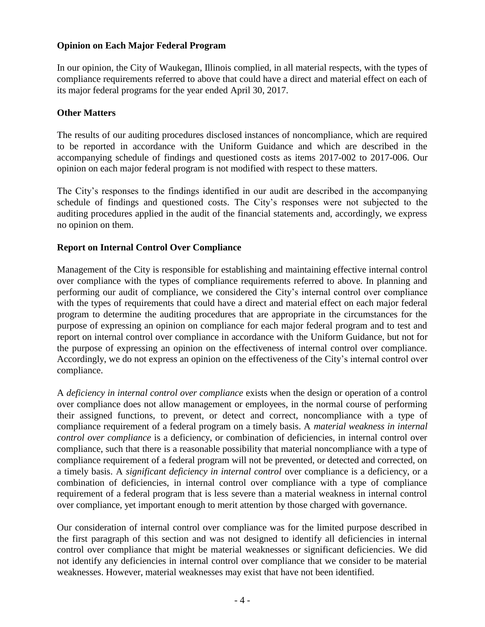# **Opinion on Each Major Federal Program**

In our opinion, the City of Waukegan, Illinois complied, in all material respects, with the types of compliance requirements referred to above that could have a direct and material effect on each of its major federal programs for the year ended April 30, 2017.

# **Other Matters**

The results of our auditing procedures disclosed instances of noncompliance, which are required to be reported in accordance with the Uniform Guidance and which are described in the accompanying schedule of findings and questioned costs as items 2017-002 to 2017-006. Our opinion on each major federal program is not modified with respect to these matters.

The City's responses to the findings identified in our audit are described in the accompanying schedule of findings and questioned costs. The City's responses were not subjected to the auditing procedures applied in the audit of the financial statements and, accordingly, we express no opinion on them.

# **Report on Internal Control Over Compliance**

Management of the City is responsible for establishing and maintaining effective internal control over compliance with the types of compliance requirements referred to above. In planning and performing our audit of compliance, we considered the City's internal control over compliance with the types of requirements that could have a direct and material effect on each major federal program to determine the auditing procedures that are appropriate in the circumstances for the purpose of expressing an opinion on compliance for each major federal program and to test and report on internal control over compliance in accordance with the Uniform Guidance, but not for the purpose of expressing an opinion on the effectiveness of internal control over compliance. Accordingly, we do not express an opinion on the effectiveness of the City's internal control over compliance.

A *deficiency in internal control over compliance* exists when the design or operation of a control over compliance does not allow management or employees, in the normal course of performing their assigned functions, to prevent, or detect and correct, noncompliance with a type of compliance requirement of a federal program on a timely basis. A *material weakness in internal control over compliance* is a deficiency, or combination of deficiencies, in internal control over compliance, such that there is a reasonable possibility that material noncompliance with a type of compliance requirement of a federal program will not be prevented, or detected and corrected, on a timely basis. A *significant deficiency in internal control* over compliance is a deficiency, or a combination of deficiencies, in internal control over compliance with a type of compliance requirement of a federal program that is less severe than a material weakness in internal control over compliance, yet important enough to merit attention by those charged with governance.

Our consideration of internal control over compliance was for the limited purpose described in the first paragraph of this section and was not designed to identify all deficiencies in internal control over compliance that might be material weaknesses or significant deficiencies. We did not identify any deficiencies in internal control over compliance that we consider to be material weaknesses. However, material weaknesses may exist that have not been identified.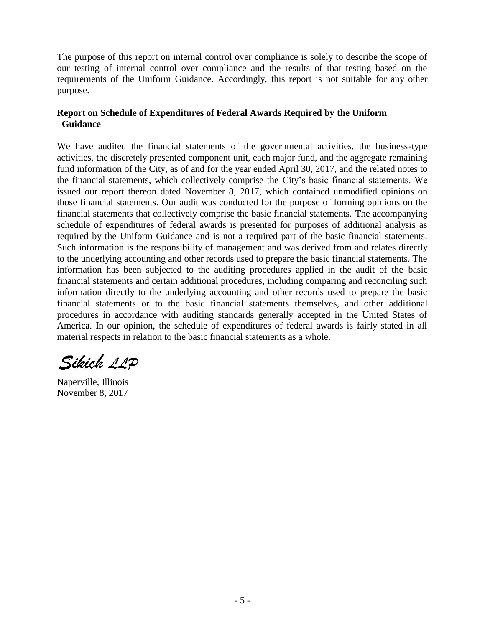The purpose of this report on internal control over compliance is solely to describe the scope of our testing of internal control over compliance and the results of that testing based on the requirements of the Uniform Guidance. Accordingly, this report is not suitable for any other purpose.

# **Report on Schedule of Expenditures of Federal Awards Required by the Uniform Guidance**

We have audited the financial statements of the governmental activities, the business-type activities, the discretely presented component unit, each major fund, and the aggregate remaining fund information of the City, as of and for the year ended April 30, 2017, and the related notes to the financial statements, which collectively comprise the City's basic financial statements. We issued our report thereon dated November 8, 2017, which contained unmodified opinions on those financial statements. Our audit was conducted for the purpose of forming opinions on the financial statements that collectively comprise the basic financial statements. The accompanying schedule of expenditures of federal awards is presented for purposes of additional analysis as required by the Uniform Guidance and is not a required part of the basic financial statements. Such information is the responsibility of management and was derived from and relates directly to the underlying accounting and other records used to prepare the basic financial statements. The information has been subjected to the auditing procedures applied in the audit of the basic financial statements and certain additional procedures, including comparing and reconciling such information directly to the underlying accounting and other records used to prepare the basic financial statements or to the basic financial statements themselves, and other additional procedures in accordance with auditing standards generally accepted in the United States of America. In our opinion, the schedule of expenditures of federal awards is fairly stated in all material respects in relation to the basic financial statements as a whole.

Sikich 11P

Naperville, Illinois November 8, 2017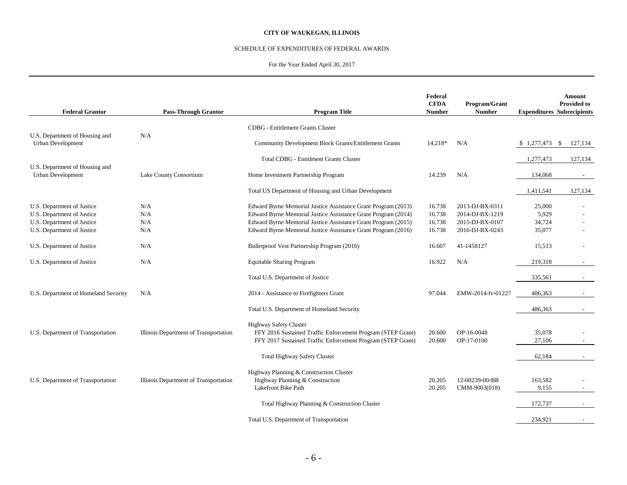### SCHEDULE OF EXPENDITURES OF FEDERAL AWARDS

### For the Year Ended April 30, 2017

| <b>Federal Grantor</b>                                                                                               | <b>Pass-Through Grantor</b>           | <b>Program Title</b>                                                                                                                                                                                                                                             | Federal<br><b>CFDA</b><br><b>Number</b> | Program/Grant<br><b>Number</b>                                           | <b>Expenditures Subrecipients</b>   | Amount<br><b>Provided to</b> |
|----------------------------------------------------------------------------------------------------------------------|---------------------------------------|------------------------------------------------------------------------------------------------------------------------------------------------------------------------------------------------------------------------------------------------------------------|-----------------------------------------|--------------------------------------------------------------------------|-------------------------------------|------------------------------|
|                                                                                                                      |                                       | <b>CDBG</b> - Entitlement Grants Cluster                                                                                                                                                                                                                         |                                         |                                                                          |                                     |                              |
| U.S. Department of Housing and<br><b>Urban Development</b>                                                           | N/A                                   | Community Development Block Grants/Entitlement Grants                                                                                                                                                                                                            | 14.218*                                 | N/A                                                                      | \$1,277,473<br>- \$                 | 127,134                      |
| U.S. Department of Housing and<br><b>Urban Development</b>                                                           |                                       | <b>Total CDBG - Entitlment Grants Cluster</b>                                                                                                                                                                                                                    |                                         |                                                                          | 1,277,473                           | 127,134                      |
|                                                                                                                      | Lake County Consortium                | Home Investment Partnership Program                                                                                                                                                                                                                              | 14.239                                  | N/A                                                                      | 134,068                             | $\sim$                       |
|                                                                                                                      |                                       | Total US Department of Housing and Urban Development                                                                                                                                                                                                             |                                         |                                                                          | 1,411,541                           | 127,134                      |
| U.S. Department of Justice<br>U.S. Department of Justice<br>U.S. Department of Justice<br>U.S. Department of Justice | N/A<br>N/A<br>N/A<br>N/A              | Edward Byrne Memorial Justice Assistance Grant Program (2013)<br>Edward Byrne Memorial Justice Assistance Grant Program (2014)<br>Edward Byrne Memorial Justice Assistance Grant Program (2015)<br>Edward Byrne Memorial Justice Assistance Grant Program (2016) | 16.738<br>16.738<br>16.738<br>16.738    | 2013-DJ-BX-0311<br>2014-DJ-BX-1219<br>2015-DJ-BX-0107<br>2016-DJ-BX-0243 | 25,000<br>5,929<br>34,724<br>35,077 |                              |
| U.S. Department of Justice                                                                                           | N/A                                   | Bulletproof Vest Partnership Program (2016)                                                                                                                                                                                                                      | 16.607                                  | 41-1458127                                                               | 15,513                              |                              |
| U.S. Department of Justice                                                                                           | N/A                                   | <b>Equitable Sharing Program</b>                                                                                                                                                                                                                                 | 16.922                                  | N/A                                                                      | 219,318                             |                              |
|                                                                                                                      |                                       | Total U.S. Department of Justice                                                                                                                                                                                                                                 |                                         |                                                                          | 335,561                             |                              |
| U.S. Department of Homeland Security                                                                                 | N/A                                   | 2014 - Assistance to Firefighters Grant                                                                                                                                                                                                                          | 97.044                                  | EMW-2014-fv-01227                                                        | 486,363                             |                              |
|                                                                                                                      |                                       | Total U.S. Department of Homeland Security                                                                                                                                                                                                                       |                                         |                                                                          | 486,363                             | $\sim$                       |
| U.S. Department of Transportation                                                                                    | Illinois Department of Transportation | Highway Safety Cluster<br>FFY 2016 Sustained Traffic Enforcement Program (STEP Grant)<br>FFY 2017 Sustained Traffic Enforcement Program (STEP Grant)<br><b>Total Highway Safety Cluster</b>                                                                      | 20.600<br>20.600                        | OP-16-0048<br>OP-17-0100                                                 | 35,078<br>27,106<br>62,184          |                              |
|                                                                                                                      |                                       |                                                                                                                                                                                                                                                                  |                                         |                                                                          |                                     |                              |
| U.S. Department of Transportation                                                                                    | Illinois Department of Transportation | Highway Planning & Construction Cluster<br>Highway Planning & Construction<br>Lakefront Bike Path                                                                                                                                                                | 20.205<br>20.205                        | 12-00239-00-BR<br>CMM-9003(018)                                          | 163,582<br>9.155                    |                              |
|                                                                                                                      |                                       | Total Highway Planning & Construction Cluster                                                                                                                                                                                                                    |                                         |                                                                          | 172,737                             | $\overline{\phantom{a}}$     |
|                                                                                                                      |                                       | Total U.S. Department of Transportation                                                                                                                                                                                                                          |                                         |                                                                          | 234,921                             |                              |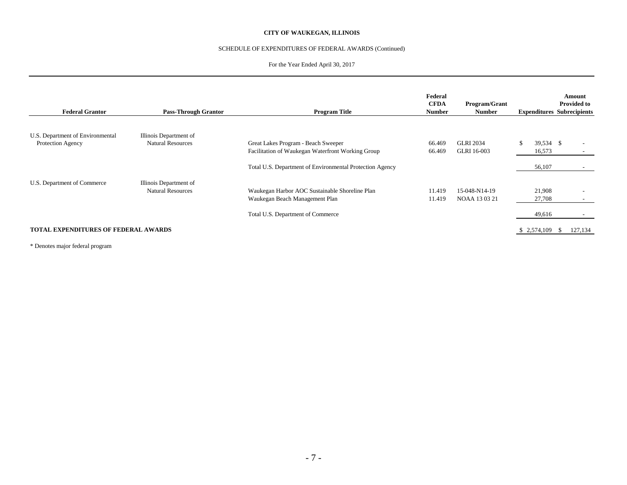### SCHEDULE OF EXPENDITURES OF FEDERAL AWARDS (Continued)

### For the Year Ended April 30, 2017

| <b>Federal Grantor</b>                                | <b>Pass-Through Grantor</b>                        | <b>Program Title</b>                                                                     | Federal<br><b>CFDA</b><br><b>Number</b> | Program/Grant<br><b>Number</b>  |                     | Amount<br><b>Provided to</b><br><b>Expenditures Subrecipients</b> |
|-------------------------------------------------------|----------------------------------------------------|------------------------------------------------------------------------------------------|-----------------------------------------|---------------------------------|---------------------|-------------------------------------------------------------------|
| U.S. Department of Environmental<br>Protection Agency | Illinois Department of<br><b>Natural Resources</b> | Great Lakes Program - Beach Sweeper<br>Facilitation of Waukegan Waterfront Working Group | 66.469<br>66.469                        | <b>GLRI 2034</b><br>GLRI 16-003 | 39,534 \$<br>16,573 | $\overline{\phantom{0}}$<br>$\overline{\phantom{0}}$              |
|                                                       |                                                    | Total U.S. Department of Environmental Protection Agency                                 |                                         |                                 | 56,107              |                                                                   |
| U.S. Department of Commerce                           | Illinois Department of<br><b>Natural Resources</b> | Waukegan Harbor AOC Sustainable Shoreline Plan<br>Waukegan Beach Management Plan         | 11.419<br>11.419                        | 15-048-N14-19<br>NOAA 13 03 21  | 21,908<br>27,708    | $\overline{\phantom{a}}$<br>$\overline{\phantom{0}}$              |
|                                                       |                                                    | Total U.S. Department of Commerce                                                        |                                         |                                 | 49,616              |                                                                   |
| <b>TOTAL EXPENDITURES OF FEDERAL AWARDS</b>           |                                                    |                                                                                          |                                         | \$2,574,109                     | 127,134<br>Ж.       |                                                                   |

\* Denotes major federal program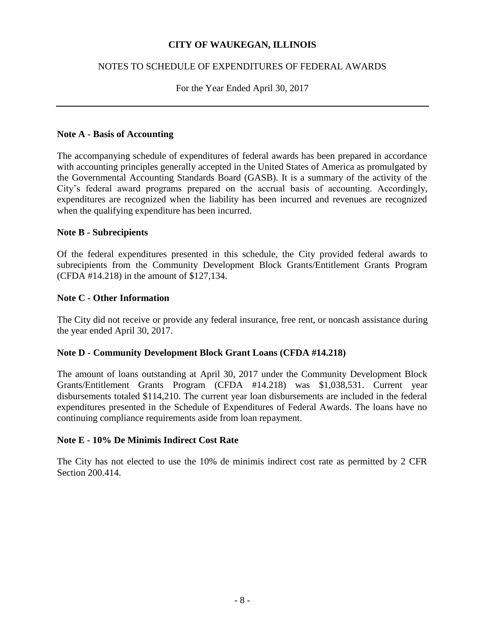# NOTES TO SCHEDULE OF EXPENDITURES OF FEDERAL AWARDS

For the Year Ended April 30, 2017

### **Note A - Basis of Accounting**

The accompanying schedule of expenditures of federal awards has been prepared in accordance with accounting principles generally accepted in the United States of America as promulgated by the Governmental Accounting Standards Board (GASB). It is a summary of the activity of the City's federal award programs prepared on the accrual basis of accounting. Accordingly, expenditures are recognized when the liability has been incurred and revenues are recognized when the qualifying expenditure has been incurred.

### **Note B - Subrecipients**

Of the federal expenditures presented in this schedule, the City provided federal awards to subrecipients from the Community Development Block Grants/Entitlement Grants Program (CFDA #14.218) in the amount of \$127,134.

### **Note C - Other Information**

The City did not receive or provide any federal insurance, free rent, or noncash assistance during the year ended April 30, 2017.

### **Note D - Community Development Block Grant Loans (CFDA #14.218)**

The amount of loans outstanding at April 30, 2017 under the Community Development Block Grants/Entitlement Grants Program (CFDA #14.218) was \$1,038,531. Current year disbursements totaled \$114,210. The current year loan disbursements are included in the federal expenditures presented in the Schedule of Expenditures of Federal Awards. The loans have no continuing compliance requirements aside from loan repayment.

### **Note E - 10% De Minimis Indirect Cost Rate**

The City has not elected to use the 10% de minimis indirect cost rate as permitted by 2 CFR Section 200.414.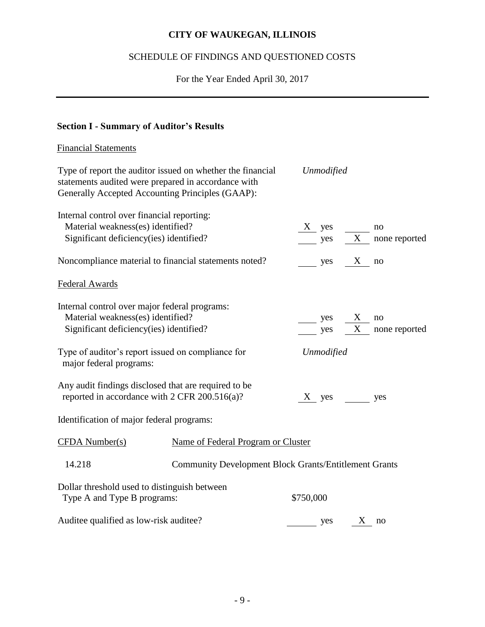# SCHEDULE OF FINDINGS AND QUESTIONED COSTS

# For the Year Ended April 30, 2017

# **Section I - Summary of Auditor's Results**

# Financial Statements

| Type of report the auditor issued on whether the financial<br>statements audited were prepared in accordance with<br>Generally Accepted Accounting Principles (GAAP): |                                                              | Unmodified                      |          |                                                               |
|-----------------------------------------------------------------------------------------------------------------------------------------------------------------------|--------------------------------------------------------------|---------------------------------|----------|---------------------------------------------------------------|
| Internal control over financial reporting:<br>Material weakness(es) identified?<br>Significant deficiency(ies) identified?                                            |                                                              | $\frac{X}{1}$ yes $\frac{1}{1}$ |          | no<br>$\frac{\ }{\ }$ yes $\frac{X}{X}$ none reported         |
| Noncompliance material to financial statements noted?                                                                                                                 |                                                              |                                 | yes X no |                                                               |
| <b>Federal Awards</b>                                                                                                                                                 |                                                              |                                 |          |                                                               |
| Internal control over major federal programs:<br>Material weakness(es) identified?<br>Significant deficiency(ies) identified?                                         |                                                              |                                 |          | $\frac{y \text{es}}{y \text{es}}$ $\frac{X}{X}$ none reported |
| Type of auditor's report issued on compliance for<br>major federal programs:                                                                                          |                                                              | Unmodified                      |          |                                                               |
| Any audit findings disclosed that are required to be<br>reported in accordance with 2 CFR 200.516(a)?                                                                 |                                                              | $X$ yes $\qquad$                |          | yes                                                           |
| Identification of major federal programs:                                                                                                                             |                                                              |                                 |          |                                                               |
| $CFDA$ Number(s)                                                                                                                                                      | Name of Federal Program or Cluster                           |                                 |          |                                                               |
| 14.218                                                                                                                                                                | <b>Community Development Block Grants/Entitlement Grants</b> |                                 |          |                                                               |
| Dollar threshold used to distinguish between<br>Type A and Type B programs:                                                                                           |                                                              | \$750,000                       |          |                                                               |
| Auditee qualified as low-risk auditee?                                                                                                                                |                                                              |                                 | yes X    | no                                                            |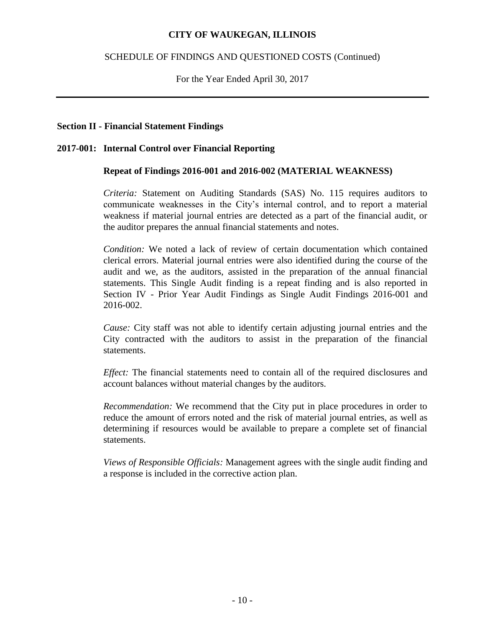# SCHEDULE OF FINDINGS AND QUESTIONED COSTS (Continued)

# For the Year Ended April 30, 2017

### **Section II - Financial Statement Findings**

### **2017-001: Internal Control over Financial Reporting**

### **Repeat of Findings 2016-001 and 2016-002 (MATERIAL WEAKNESS)**

*Criteria:* Statement on Auditing Standards (SAS) No. 115 requires auditors to communicate weaknesses in the City's internal control, and to report a material weakness if material journal entries are detected as a part of the financial audit, or the auditor prepares the annual financial statements and notes.

*Condition:* We noted a lack of review of certain documentation which contained clerical errors. Material journal entries were also identified during the course of the audit and we, as the auditors, assisted in the preparation of the annual financial statements. This Single Audit finding is a repeat finding and is also reported in Section IV - Prior Year Audit Findings as Single Audit Findings 2016-001 and 2016-002.

*Cause:* City staff was not able to identify certain adjusting journal entries and the City contracted with the auditors to assist in the preparation of the financial statements.

*Effect:* The financial statements need to contain all of the required disclosures and account balances without material changes by the auditors.

*Recommendation:* We recommend that the City put in place procedures in order to reduce the amount of errors noted and the risk of material journal entries, as well as determining if resources would be available to prepare a complete set of financial statements.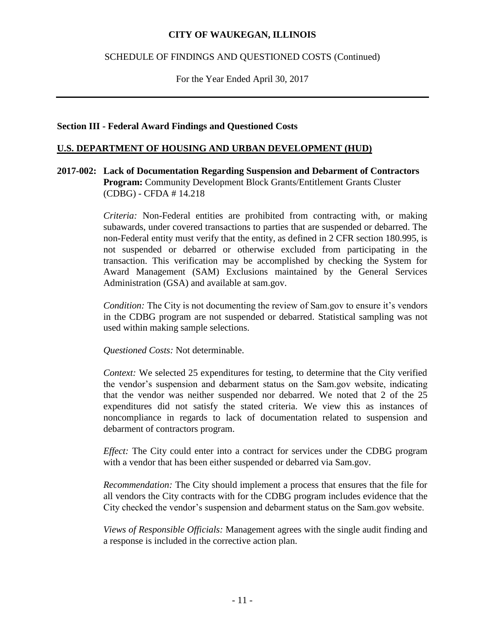# SCHEDULE OF FINDINGS AND QUESTIONED COSTS (Continued)

### For the Year Ended April 30, 2017

### **Section III - Federal Award Findings and Questioned Costs**

### **U.S. DEPARTMENT OF HOUSING AND URBAN DEVELOPMENT (HUD)**

# **2017-002: Lack of Documentation Regarding Suspension and Debarment of Contractors Program:** Community Development Block Grants/Entitlement Grants Cluster (CDBG) - CFDA # 14.218

*Criteria:* Non-Federal entities are prohibited from contracting with, or making subawards, under covered transactions to parties that are suspended or debarred. The non-Federal entity must verify that the entity, as defined in 2 CFR section 180.995, is not suspended or debarred or otherwise excluded from participating in the transaction. This verification may be accomplished by checking the System for Award Management (SAM) Exclusions maintained by the General Services Administration (GSA) and available at sam.gov.

*Condition:* The City is not documenting the review of Sam.gov to ensure it's vendors in the CDBG program are not suspended or debarred. Statistical sampling was not used within making sample selections.

*Questioned Costs:* Not determinable.

*Context:* We selected 25 expenditures for testing, to determine that the City verified the vendor's suspension and debarment status on the Sam.gov website, indicating that the vendor was neither suspended nor debarred. We noted that 2 of the 25 expenditures did not satisfy the stated criteria. We view this as instances of noncompliance in regards to lack of documentation related to suspension and debarment of contractors program.

*Effect:* The City could enter into a contract for services under the CDBG program with a vendor that has been either suspended or debarred via Sam.gov.

*Recommendation:* The City should implement a process that ensures that the file for all vendors the City contracts with for the CDBG program includes evidence that the City checked the vendor's suspension and debarment status on the Sam.gov website.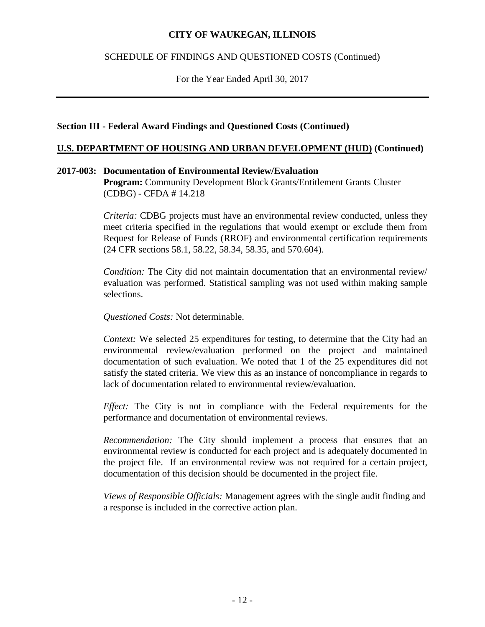# SCHEDULE OF FINDINGS AND QUESTIONED COSTS (Continued)

### For the Year Ended April 30, 2017

### **Section III - Federal Award Findings and Questioned Costs (Continued)**

### **U.S. DEPARTMENT OF HOUSING AND URBAN DEVELOPMENT (HUD) (Continued)**

### **2017-003: Documentation of Environmental Review/Evaluation**

**Program:** Community Development Block Grants/Entitlement Grants Cluster (CDBG) - CFDA # 14.218

*Criteria:* CDBG projects must have an environmental review conducted, unless they meet criteria specified in the regulations that would exempt or exclude them from Request for Release of Funds (RROF) and environmental certification requirements (24 CFR sections 58.1, 58.22, 58.34, 58.35, and 570.604).

*Condition:* The City did not maintain documentation that an environmental review/ evaluation was performed. Statistical sampling was not used within making sample selections.

### *Questioned Costs:* Not determinable.

*Context:* We selected 25 expenditures for testing, to determine that the City had an environmental review/evaluation performed on the project and maintained documentation of such evaluation. We noted that 1 of the 25 expenditures did not satisfy the stated criteria. We view this as an instance of noncompliance in regards to lack of documentation related to environmental review/evaluation.

*Effect:* The City is not in compliance with the Federal requirements for the performance and documentation of environmental reviews.

*Recommendation:* The City should implement a process that ensures that an environmental review is conducted for each project and is adequately documented in the project file. If an environmental review was not required for a certain project, documentation of this decision should be documented in the project file.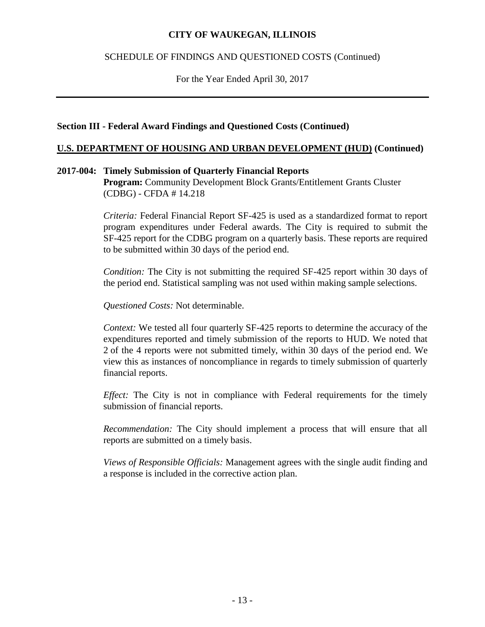# SCHEDULE OF FINDINGS AND QUESTIONED COSTS (Continued)

### For the Year Ended April 30, 2017

### **Section III - Federal Award Findings and Questioned Costs (Continued)**

### **U.S. DEPARTMENT OF HOUSING AND URBAN DEVELOPMENT (HUD) (Continued)**

### **2017-004: Timely Submission of Quarterly Financial Reports**

**Program:** Community Development Block Grants/Entitlement Grants Cluster (CDBG) - CFDA # 14.218

*Criteria:* Federal Financial Report SF-425 is used as a standardized format to report program expenditures under Federal awards. The City is required to submit the SF-425 report for the CDBG program on a quarterly basis. These reports are required to be submitted within 30 days of the period end.

*Condition:* The City is not submitting the required SF-425 report within 30 days of the period end. Statistical sampling was not used within making sample selections.

*Questioned Costs:* Not determinable.

*Context:* We tested all four quarterly SF-425 reports to determine the accuracy of the expenditures reported and timely submission of the reports to HUD. We noted that 2 of the 4 reports were not submitted timely, within 30 days of the period end. We view this as instances of noncompliance in regards to timely submission of quarterly financial reports.

*Effect:* The City is not in compliance with Federal requirements for the timely submission of financial reports.

*Recommendation:* The City should implement a process that will ensure that all reports are submitted on a timely basis.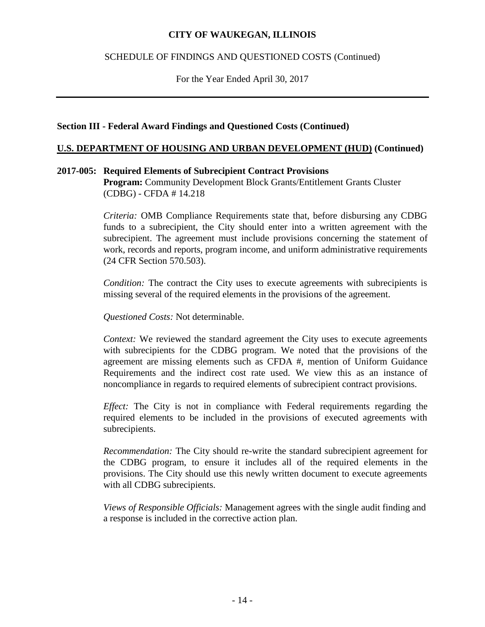# SCHEDULE OF FINDINGS AND QUESTIONED COSTS (Continued)

### For the Year Ended April 30, 2017

### **Section III - Federal Award Findings and Questioned Costs (Continued)**

### **U.S. DEPARTMENT OF HOUSING AND URBAN DEVELOPMENT (HUD) (Continued)**

### **2017-005: Required Elements of Subrecipient Contract Provisions**

**Program:** Community Development Block Grants/Entitlement Grants Cluster (CDBG) - CFDA # 14.218

*Criteria:* OMB Compliance Requirements state that, before disbursing any CDBG funds to a subrecipient, the City should enter into a written agreement with the subrecipient. The agreement must include provisions concerning the statement of work, records and reports, program income, and uniform administrative requirements (24 CFR Section 570.503).

*Condition:* The contract the City uses to execute agreements with subrecipients is missing several of the required elements in the provisions of the agreement.

*Questioned Costs:* Not determinable.

*Context:* We reviewed the standard agreement the City uses to execute agreements with subrecipients for the CDBG program. We noted that the provisions of the agreement are missing elements such as CFDA #, mention of Uniform Guidance Requirements and the indirect cost rate used. We view this as an instance of noncompliance in regards to required elements of subrecipient contract provisions.

*Effect:* The City is not in compliance with Federal requirements regarding the required elements to be included in the provisions of executed agreements with subrecipients.

*Recommendation:* The City should re-write the standard subrecipient agreement for the CDBG program, to ensure it includes all of the required elements in the provisions. The City should use this newly written document to execute agreements with all CDBG subrecipients.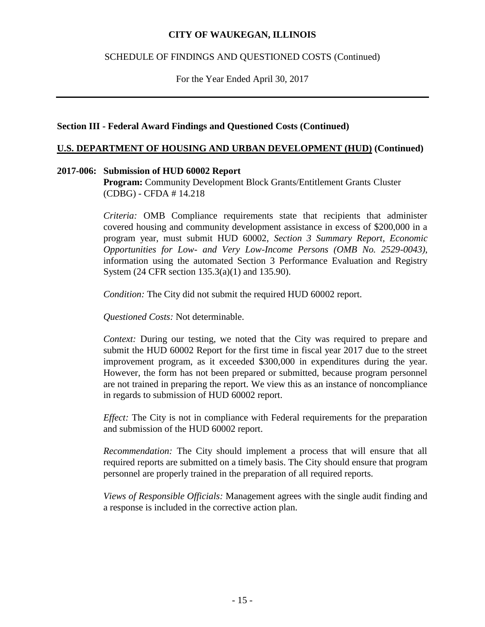# SCHEDULE OF FINDINGS AND QUESTIONED COSTS (Continued)

### For the Year Ended April 30, 2017

### **Section III - Federal Award Findings and Questioned Costs (Continued)**

### **U.S. DEPARTMENT OF HOUSING AND URBAN DEVELOPMENT (HUD) (Continued)**

### **2017-006: Submission of HUD 60002 Report**

**Program:** Community Development Block Grants/Entitlement Grants Cluster (CDBG) - CFDA # 14.218

*Criteria:* OMB Compliance requirements state that recipients that administer covered housing and community development assistance in excess of \$200,000 in a program year, must submit HUD 60002, *Section 3 Summary Report, Economic Opportunities for Low- and Very Low-Income Persons (OMB No. 2529-0043)*, information using the automated Section 3 Performance Evaluation and Registry System (24 CFR section 135.3(a)(1) and 135.90).

*Condition:* The City did not submit the required HUD 60002 report.

*Questioned Costs:* Not determinable.

*Context:* During our testing, we noted that the City was required to prepare and submit the HUD 60002 Report for the first time in fiscal year 2017 due to the street improvement program, as it exceeded \$300,000 in expenditures during the year. However, the form has not been prepared or submitted, because program personnel are not trained in preparing the report. We view this as an instance of noncompliance in regards to submission of HUD 60002 report.

*Effect:* The City is not in compliance with Federal requirements for the preparation and submission of the HUD 60002 report.

*Recommendation:* The City should implement a process that will ensure that all required reports are submitted on a timely basis. The City should ensure that program personnel are properly trained in the preparation of all required reports.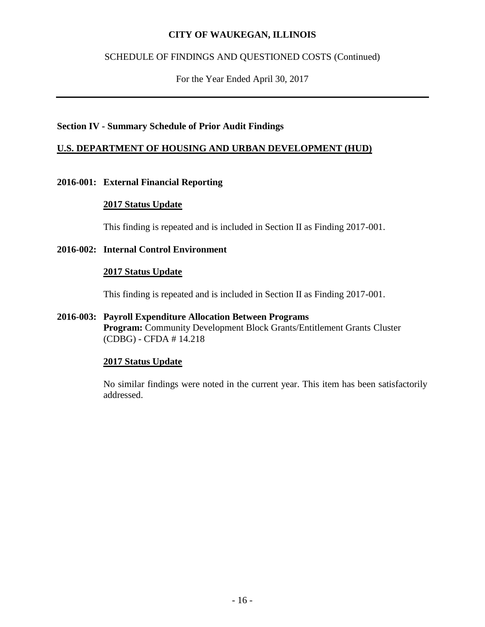# SCHEDULE OF FINDINGS AND QUESTIONED COSTS (Continued)

# For the Year Ended April 30, 2017

### **Section IV - Summary Schedule of Prior Audit Findings**

# **U.S. DEPARTMENT OF HOUSING AND URBAN DEVELOPMENT (HUD)**

### **2016-001: External Financial Reporting**

### **2017 Status Update**

This finding is repeated and is included in Section II as Finding 2017-001.

### **2016-002: Internal Control Environment**

### **2017 Status Update**

This finding is repeated and is included in Section II as Finding 2017-001.

# **2016-003: Payroll Expenditure Allocation Between Programs Program:** Community Development Block Grants/Entitlement Grants Cluster (CDBG) - CFDA # 14.218

### **2017 Status Update**

No similar findings were noted in the current year. This item has been satisfactorily addressed.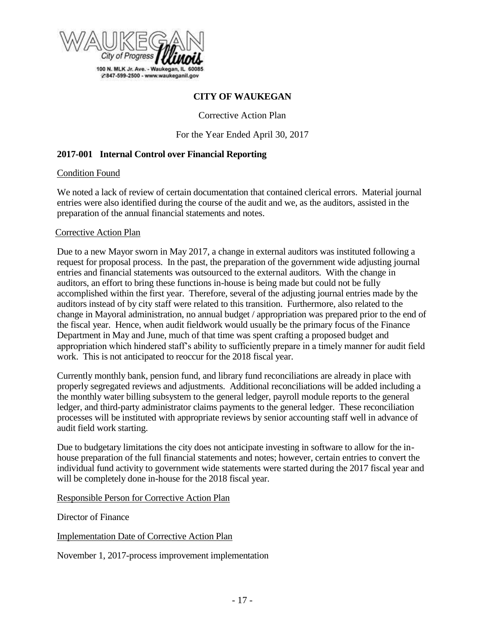

# **CITY OF WAUKEGAN**

Corrective Action Plan

### For the Year Ended April 30, 2017

# **2017-001 Internal Control over Financial Reporting**

### Condition Found

We noted a lack of review of certain documentation that contained clerical errors. Material journal entries were also identified during the course of the audit and we, as the auditors, assisted in the preparation of the annual financial statements and notes.

### Corrective Action Plan

Due to a new Mayor sworn in May 2017, a change in external auditors was instituted following a request for proposal process. In the past, the preparation of the government wide adjusting journal entries and financial statements was outsourced to the external auditors. With the change in auditors, an effort to bring these functions in-house is being made but could not be fully accomplished within the first year. Therefore, several of the adjusting journal entries made by the auditors instead of by city staff were related to this transition. Furthermore, also related to the change in Mayoral administration, no annual budget / appropriation was prepared prior to the end of the fiscal year. Hence, when audit fieldwork would usually be the primary focus of the Finance Department in May and June, much of that time was spent crafting a proposed budget and appropriation which hindered staff's ability to sufficiently prepare in a timely manner for audit field work. This is not anticipated to reoccur for the 2018 fiscal year.

Currently monthly bank, pension fund, and library fund reconciliations are already in place with properly segregated reviews and adjustments. Additional reconciliations will be added including a the monthly water billing subsystem to the general ledger, payroll module reports to the general ledger, and third-party administrator claims payments to the general ledger. These reconciliation processes will be instituted with appropriate reviews by senior accounting staff well in advance of audit field work starting.

Due to budgetary limitations the city does not anticipate investing in software to allow for the inhouse preparation of the full financial statements and notes; however, certain entries to convert the individual fund activity to government wide statements were started during the 2017 fiscal year and will be completely done in-house for the 2018 fiscal year.

Responsible Person for Corrective Action Plan

Director of Finance

Implementation Date of Corrective Action Plan

November 1, 2017-process improvement implementation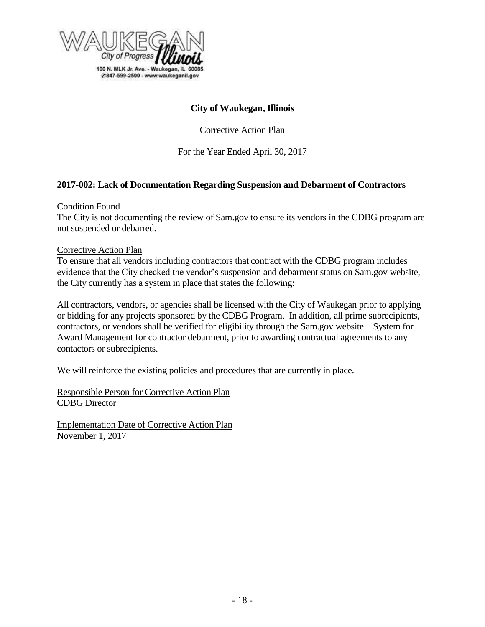

Corrective Action Plan

For the Year Ended April 30, 2017

# **2017-002: Lack of Documentation Regarding Suspension and Debarment of Contractors**

### Condition Found

The City is not documenting the review of Sam.gov to ensure its vendors in the CDBG program are not suspended or debarred.

### Corrective Action Plan

To ensure that all vendors including contractors that contract with the CDBG program includes evidence that the City checked the vendor's suspension and debarment status on Sam.gov website, the City currently has a system in place that states the following:

All contractors, vendors, or agencies shall be licensed with the City of Waukegan prior to applying or bidding for any projects sponsored by the CDBG Program. In addition, all prime subrecipients, contractors, or vendors shall be verified for eligibility through the Sam.gov website – System for Award Management for contractor debarment, prior to awarding contractual agreements to any contactors or subrecipients.

We will reinforce the existing policies and procedures that are currently in place.

Responsible Person for Corrective Action Plan CDBG Director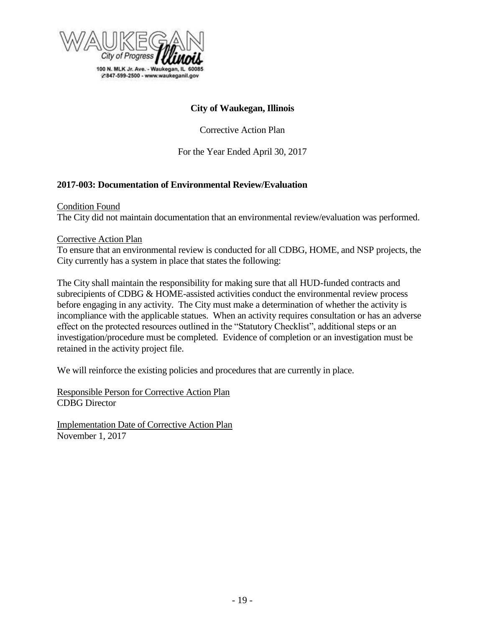

Corrective Action Plan

For the Year Ended April 30, 2017

# **2017-003: Documentation of Environmental Review/Evaluation**

Condition Found

The City did not maintain documentation that an environmental review/evaluation was performed.

### Corrective Action Plan

To ensure that an environmental review is conducted for all CDBG, HOME, and NSP projects, the City currently has a system in place that states the following:

The City shall maintain the responsibility for making sure that all HUD-funded contracts and subrecipients of CDBG & HOME-assisted activities conduct the environmental review process before engaging in any activity. The City must make a determination of whether the activity is incompliance with the applicable statues. When an activity requires consultation or has an adverse effect on the protected resources outlined in the "Statutory Checklist", additional steps or an investigation/procedure must be completed. Evidence of completion or an investigation must be retained in the activity project file.

We will reinforce the existing policies and procedures that are currently in place.

Responsible Person for Corrective Action Plan CDBG Director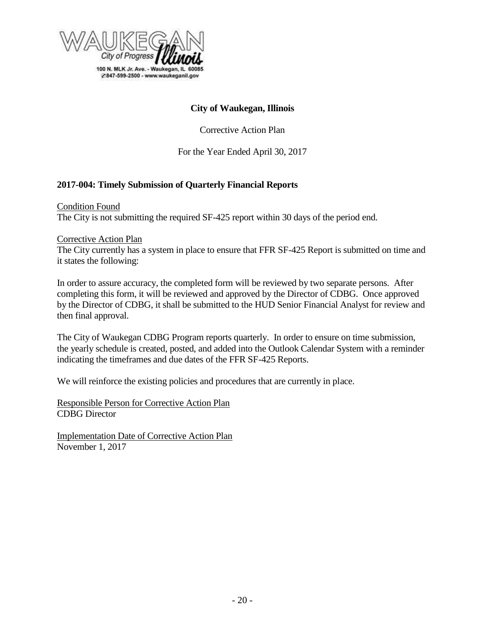

Corrective Action Plan

For the Year Ended April 30, 2017

# **2017-004: Timely Submission of Quarterly Financial Reports**

Condition Found The City is not submitting the required SF-425 report within 30 days of the period end.

### Corrective Action Plan

The City currently has a system in place to ensure that FFR SF-425 Report is submitted on time and it states the following:

In order to assure accuracy, the completed form will be reviewed by two separate persons. After completing this form, it will be reviewed and approved by the Director of CDBG. Once approved by the Director of CDBG, it shall be submitted to the HUD Senior Financial Analyst for review and then final approval.

The City of Waukegan CDBG Program reports quarterly. In order to ensure on time submission, the yearly schedule is created, posted, and added into the Outlook Calendar System with a reminder indicating the timeframes and due dates of the FFR SF-425 Reports.

We will reinforce the existing policies and procedures that are currently in place.

Responsible Person for Corrective Action Plan CDBG Director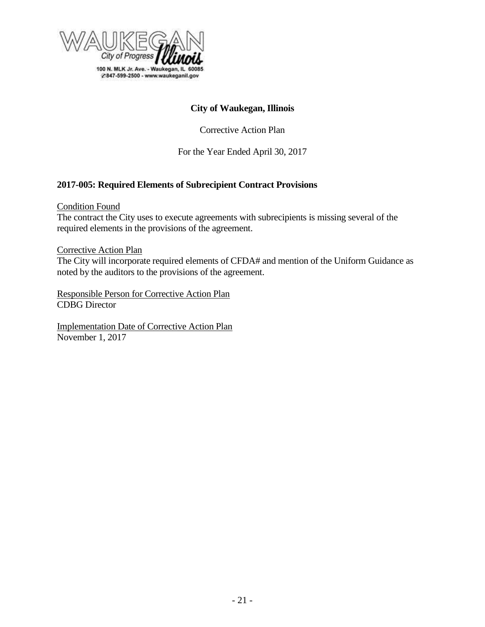

Corrective Action Plan

For the Year Ended April 30, 2017

# **2017-005: Required Elements of Subrecipient Contract Provisions**

Condition Found

The contract the City uses to execute agreements with subrecipients is missing several of the required elements in the provisions of the agreement.

Corrective Action Plan

The City will incorporate required elements of CFDA# and mention of the Uniform Guidance as noted by the auditors to the provisions of the agreement.

Responsible Person for Corrective Action Plan CDBG Director